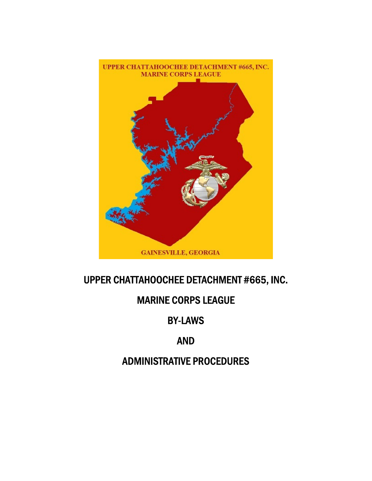

# UPPER CHATTAHOOCHEE DETACHMENT #665, INC.

# MARINE CORPS LEAGUE

# BY-LAWS

# AND

# ADMINISTRATIVE PROCEDURES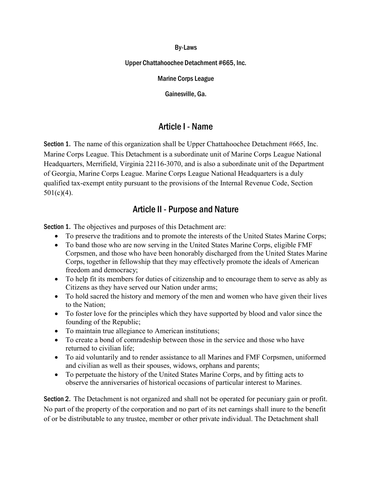#### By-Laws

#### Upper Chattahoochee Detachment #665, Inc.

Marine Corps League

Gainesville, Ga.

#### Article I - Name

Section 1. The name of this organization shall be Upper Chattahoochee Detachment #665, Inc. Marine Corps League. This Detachment is a subordinate unit of Marine Corps League National Headquarters, Merrifield, Virginia 22116-3070, and is also a subordinate unit of the Department of Georgia, Marine Corps League. Marine Corps League National Headquarters is a duly qualified tax-exempt entity pursuant to the provisions of the Internal Revenue Code, Section  $501(c)(4)$ .

#### Article II - Purpose and Nature

Section 1. The objectives and purposes of this Detachment are:

- To preserve the traditions and to promote the interests of the United States Marine Corps;
- To band those who are now serving in the United States Marine Corps, eligible FMF Corpsmen, and those who have been honorably discharged from the United States Marine Corps, together in fellowship that they may effectively promote the ideals of American freedom and democracy;
- To help fit its members for duties of citizenship and to encourage them to serve as ably as Citizens as they have served our Nation under arms;
- To hold sacred the history and memory of the men and women who have given their lives to the Nation;
- To foster love for the principles which they have supported by blood and valor since the founding of the Republic;
- To maintain true allegiance to American institutions;
- To create a bond of comradeship between those in the service and those who have returned to civilian life;
- To aid voluntarily and to render assistance to all Marines and FMF Corpsmen, uniformed and civilian as well as their spouses, widows, orphans and parents;
- To perpetuate the history of the United States Marine Corps, and by fitting acts to observe the anniversaries of historical occasions of particular interest to Marines.

Section 2. The Detachment is not organized and shall not be operated for pecuniary gain or profit. No part of the property of the corporation and no part of its net earnings shall inure to the benefit of or be distributable to any trustee, member or other private individual. The Detachment shall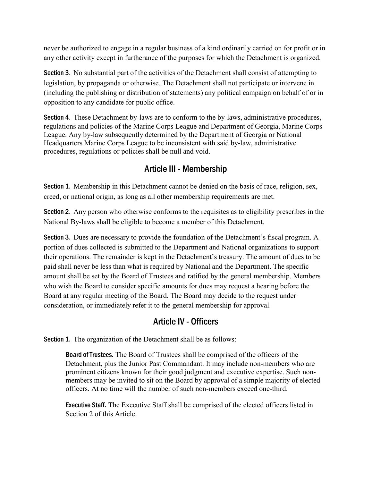never be authorized to engage in a regular business of a kind ordinarily carried on for profit or in any other activity except in furtherance of the purposes for which the Detachment is organized.

Section 3. No substantial part of the activities of the Detachment shall consist of attempting to legislation, by propaganda or otherwise. The Detachment shall not participate or intervene in (including the publishing or distribution of statements) any political campaign on behalf of or in opposition to any candidate for public office.

Section 4. These Detachment by-laws are to conform to the by-laws, administrative procedures, regulations and policies of the Marine Corps League and Department of Georgia, Marine Corps League. Any by-law subsequently determined by the Department of Georgia or National Headquarters Marine Corps League to be inconsistent with said by-law, administrative procedures, regulations or policies shall be null and void.

## Article III - Membership

Section 1. Membership in this Detachment cannot be denied on the basis of race, religion, sex, creed, or national origin, as long as all other membership requirements are met.

Section 2. Any person who otherwise conforms to the requisites as to eligibility prescribes in the National By-laws shall be eligible to become a member of this Detachment.

Section 3. Dues are necessary to provide the foundation of the Detachment's fiscal program. A portion of dues collected is submitted to the Department and National organizations to support their operations. The remainder is kept in the Detachment's treasury. The amount of dues to be paid shall never be less than what is required by National and the Department. The specific amount shall be set by the Board of Trustees and ratified by the general membership. Members who wish the Board to consider specific amounts for dues may request a hearing before the Board at any regular meeting of the Board. The Board may decide to the request under consideration, or immediately refer it to the general membership for approval.

### Article IV - Officers

Section 1. The organization of the Detachment shall be as follows:

Board of Trustees. The Board of Trustees shall be comprised of the officers of the Detachment, plus the Junior Past Commandant. It may include non-members who are prominent citizens known for their good judgment and executive expertise. Such nonmembers may be invited to sit on the Board by approval of a simple majority of elected officers. At no time will the number of such non-members exceed one-third.

Executive Staff. The Executive Staff shall be comprised of the elected officers listed in Section 2 of this Article.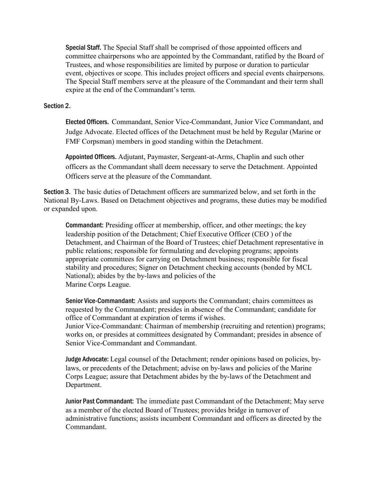Special Staff. The Special Staff shall be comprised of those appointed officers and committee chairpersons who are appointed by the Commandant, ratified by the Board of Trustees, and whose responsibilities are limited by purpose or duration to particular event, objectives or scope. This includes project officers and special events chairpersons. The Special Staff members serve at the pleasure of the Commandant and their term shall expire at the end of the Commandant's term.

#### Section 2.

Elected Officers. Commandant, Senior Vice-Commandant, Junior Vice Commandant, and Judge Advocate. Elected offices of the Detachment must be held by Regular (Marine or FMF Corpsman) members in good standing within the Detachment.

Appointed Officers. Adjutant, Paymaster, Sergeant-at-Arms, Chaplin and such other officers as the Commandant shall deem necessary to serve the Detachment. Appointed Officers serve at the pleasure of the Commandant.

Section 3. The basic duties of Detachment officers are summarized below, and set forth in the National By-Laws. Based on Detachment objectives and programs, these duties may be modified or expanded upon.

Commandant: Presiding officer at membership, officer, and other meetings; the key leadership position of the Detachment; Chief Executive Officer (CEO ) of the Detachment, and Chairman of the Board of Trustees; chief Detachment representative in public relations; responsible for formulating and developing programs; appoints appropriate committees for carrying on Detachment business; responsible for fiscal stability and procedures; Signer on Detachment checking accounts (bonded by MCL National); abides by the by-laws and policies of the Marine Corps League.

Senior Vice-Commandant: Assists and supports the Commandant; chairs committees as requested by the Commandant; presides in absence of the Commandant; candidate for office of Commandant at expiration of terms if wishes.

Junior Vice-Commandant: Chairman of membership (recruiting and retention) programs; works on, or presides at committees designated by Commandant; presides in absence of Senior Vice-Commandant and Commandant.

Judge Advocate: Legal counsel of the Detachment; render opinions based on policies, bylaws, or precedents of the Detachment; advise on by-laws and policies of the Marine Corps League; assure that Detachment abides by the by-laws of the Detachment and Department.

Junior Past Commandant: The immediate past Commandant of the Detachment; May serve as a member of the elected Board of Trustees; provides bridge in turnover of administrative functions; assists incumbent Commandant and officers as directed by the Commandant.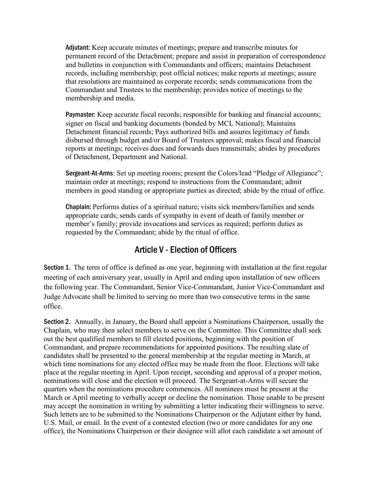Adjutant: Keep accurate minutes of meetings; prepare and transcribe minutes for permanent record of the Detachment; prepare and assist in preparation of correspondence and bulletins in conjunction with Commandants and officers; maintains Detachment records, including membership; post official notices; make reports at meetings; assure that resolutions are maintained as corporate records; sends communications from the Commandant and Trustees to the membership; provides notice of meetings to the membership and media.

Paymaster: Keep accurate fiscal records; responsible for banking and financial accounts; signer on fiscal and banking documents (bonded by MCL National); Maintains Detachment financial records; Pays authorized bills and assures legitimacy of funds disbursed through budget and/or Board of Trustees approval; makes fiscal and financial reports at meetings; receives dues and forwards dues transmittals; abides by procedures of Detachment, Department and National.

Sergeant-At-Arms: Set up meeting rooms; present the Colors/lead "Pledge of Allegiance"; maintain order at meetings; respond to instructions from the Commandant; admit members in good standing or appropriate parties as directed; abide by the ritual of office.

Chaplain: Performs duties of a spiritual nature; visits sick members/families and sends appropriate cards; sends cards of sympathy in event of death of family member or member's family; provide invocations and services as required; perform duties as requested by the Commandant; abide by the ritual of office.

## Article V - Election of Officers

Section 1. The term of office is defined as one year, beginning with installation at the first regular meeting of each anniversary year, usually in April and ending upon installation of new officers the following year. The Commandant, Senior Vice-Commandant, Junior Vice-Commandant and Judge Advocate shall be limited to serving no more than two consecutive terms in the same office.

Section 2. Annually, in January, the Board shall appoint a Nominations Chairperson, usually the Chaplain, who may then select members to serve on the Committee. This Committee shall seek out the best qualified members to fill elected positions, beginning with the position of Commandant, and prepare recommendations for appointed positions. The resulting slate of candidates shall be presented to the general membership at the regular meeting in March, at which time nominations for any elected office may be made from the floor. Elections will take place at the regular meeting in April. Upon receipt, seconding and approval of a proper motion, nominations will close and the election will proceed. The Sergeant-at-Arms will secure the quarters when the nominations procedure commences. All nominees must be present at the March or April meeting to verbally accept or decline the nomination. Those unable to be present may accept the nomination in writing by submitting a letter indicating their willingness to serve. Such letters are to be submitted to the Nominations Chairperson or the Adjutant either by hand, U.S. Mail, or email. In the event of a contested election (two or more candidates for any one office), the Nominations Chairperson or their designee will allot each candidate a set amount of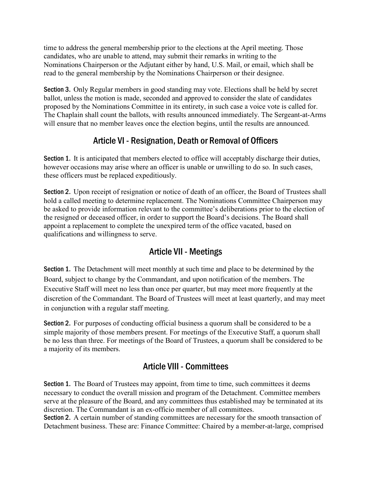time to address the general membership prior to the elections at the April meeting. Those candidates, who are unable to attend, may submit their remarks in writing to the Nominations Chairperson or the Adjutant either by hand, U.S. Mail, or email, which shall be read to the general membership by the Nominations Chairperson or their designee.

Section 3. Only Regular members in good standing may vote. Elections shall be held by secret ballot, unless the motion is made, seconded and approved to consider the slate of candidates proposed by the Nominations Committee in its entirety, in such case a voice vote is called for. The Chaplain shall count the ballots, with results announced immediately. The Sergeant-at-Arms will ensure that no member leaves once the election begins, until the results are announced.

## Article VI - Resignation, Death or Removal of Officers

Section 1. It is anticipated that members elected to office will acceptably discharge their duties, however occasions may arise where an officer is unable or unwilling to do so. In such cases, these officers must be replaced expeditiously.

Section 2. Upon receipt of resignation or notice of death of an officer, the Board of Trustees shall hold a called meeting to determine replacement. The Nominations Committee Chairperson may be asked to provide information relevant to the committee's deliberations prior to the election of the resigned or deceased officer, in order to support the Board's decisions. The Board shall appoint a replacement to complete the unexpired term of the office vacated, based on qualifications and willingness to serve.

# Article VII - Meetings

Section 1. The Detachment will meet monthly at such time and place to be determined by the Board, subject to change by the Commandant, and upon notification of the members. The Executive Staff will meet no less than once per quarter, but may meet more frequently at the discretion of the Commandant. The Board of Trustees will meet at least quarterly, and may meet in conjunction with a regular staff meeting.

Section 2. For purposes of conducting official business a quorum shall be considered to be a simple majority of those members present. For meetings of the Executive Staff, a quorum shall be no less than three. For meetings of the Board of Trustees, a quorum shall be considered to be a majority of its members.

# Article VIII - Committees

Section 1. The Board of Trustees may appoint, from time to time, such committees it deems necessary to conduct the overall mission and program of the Detachment. Committee members serve at the pleasure of the Board, and any committees thus established may be terminated at its discretion. The Commandant is an ex-officio member of all committees.

Section 2. A certain number of standing committees are necessary for the smooth transaction of Detachment business. These are: Finance Committee: Chaired by a member-at-large, comprised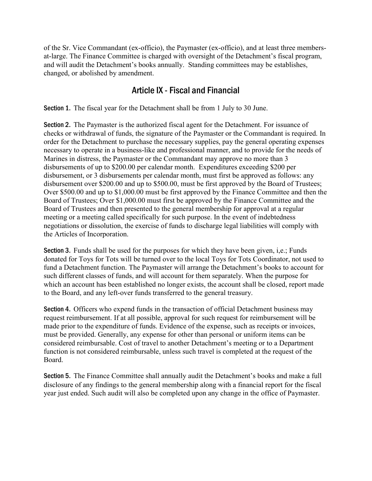of the Sr. Vice Commandant (ex-officio), the Paymaster (ex-officio), and at least three membersat-large. The Finance Committee is charged with oversight of the Detachment's fiscal program, and will audit the Detachment's books annually. Standing committees may be establishes, changed, or abolished by amendment.

### Article IX - Fiscal and Financial

Section 1. The fiscal year for the Detachment shall be from 1 July to 30 June.

Section 2. The Paymaster is the authorized fiscal agent for the Detachment. For issuance of checks or withdrawal of funds, the signature of the Paymaster or the Commandant is required. In order for the Detachment to purchase the necessary supplies, pay the general operating expenses necessary to operate in a business-like and professional manner, and to provide for the needs of Marines in distress, the Paymaster or the Commandant may approve no more than 3 disbursements of up to \$200.00 per calendar month. Expenditures exceeding \$200 per disbursement, or 3 disbursements per calendar month, must first be approved as follows: any disbursement over \$200.00 and up to \$500.00, must be first approved by the Board of Trustees; Over \$500.00 and up to \$1,000.00 must be first approved by the Finance Committee and then the Board of Trustees; Over \$1,000.00 must first be approved by the Finance Committee and the Board of Trustees and then presented to the general membership for approval at a regular meeting or a meeting called specifically for such purpose. In the event of indebtedness negotiations or dissolution, the exercise of funds to discharge legal liabilities will comply with the Articles of Incorporation.

Section 3. Funds shall be used for the purposes for which they have been given, i,e.; Funds donated for Toys for Tots will be turned over to the local Toys for Tots Coordinator, not used to fund a Detachment function. The Paymaster will arrange the Detachment's books to account for such different classes of funds, and will account for them separately. When the purpose for which an account has been established no longer exists, the account shall be closed, report made to the Board, and any left-over funds transferred to the general treasury.

Section 4. Officers who expend funds in the transaction of official Detachment business may request reimbursement. If at all possible, approval for such request for reimbursement will be made prior to the expenditure of funds. Evidence of the expense, such as receipts or invoices, must be provided. Generally, any expense for other than personal or uniform items can be considered reimbursable. Cost of travel to another Detachment's meeting or to a Department function is not considered reimbursable, unless such travel is completed at the request of the Board.

Section 5. The Finance Committee shall annually audit the Detachment's books and make a full disclosure of any findings to the general membership along with a financial report for the fiscal year just ended. Such audit will also be completed upon any change in the office of Paymaster.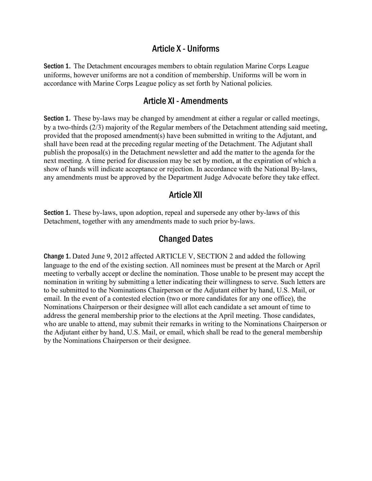#### Article X - Uniforms

Section 1. The Detachment encourages members to obtain regulation Marine Corps League uniforms, however uniforms are not a condition of membership. Uniforms will be worn in accordance with Marine Corps League policy as set forth by National policies.

#### Article XI - Amendments

Section 1. These by-laws may be changed by amendment at either a regular or called meetings, by a two-thirds (2/3) majority of the Regular members of the Detachment attending said meeting, provided that the proposed amendment(s) have been submitted in writing to the Adjutant, and shall have been read at the preceding regular meeting of the Detachment. The Adjutant shall publish the proposal(s) in the Detachment newsletter and add the matter to the agenda for the next meeting. A time period for discussion may be set by motion, at the expiration of which a show of hands will indicate acceptance or rejection. In accordance with the National By-laws, any amendments must be approved by the Department Judge Advocate before they take effect.

#### Article XII

Section 1. These by-laws, upon adoption, repeal and supersede any other by-laws of this Detachment, together with any amendments made to such prior by-laws.

#### Changed Dates

Change 1. Dated June 9, 2012 affected ARTICLE V, SECTION 2 and added the following language to the end of the existing section. All nominees must be present at the March or April meeting to verbally accept or decline the nomination. Those unable to be present may accept the nomination in writing by submitting a letter indicating their willingness to serve. Such letters are to be submitted to the Nominations Chairperson or the Adjutant either by hand, U.S. Mail, or email. In the event of a contested election (two or more candidates for any one office), the Nominations Chairperson or their designee will allot each candidate a set amount of time to address the general membership prior to the elections at the April meeting. Those candidates, who are unable to attend, may submit their remarks in writing to the Nominations Chairperson or the Adjutant either by hand, U.S. Mail, or email, which shall be read to the general membership by the Nominations Chairperson or their designee.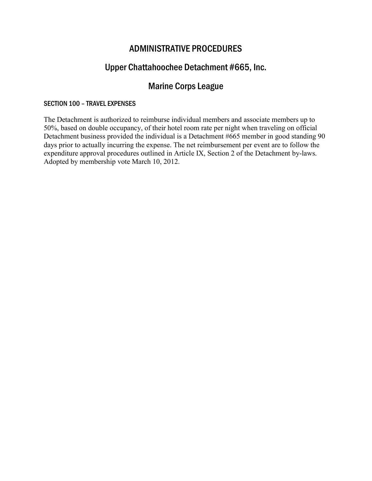### ADMINISTRATIVE PROCEDURES

## Upper Chattahoochee Detachment #665, Inc.

## Marine Corps League

#### SECTION 100 – TRAVEL EXPENSES

The Detachment is authorized to reimburse individual members and associate members up to 50%, based on double occupancy, of their hotel room rate per night when traveling on official Detachment business provided the individual is a Detachment #665 member in good standing 90 days prior to actually incurring the expense. The net reimbursement per event are to follow the expenditure approval procedures outlined in Article IX, Section 2 of the Detachment by-laws. Adopted by membership vote March 10, 2012.